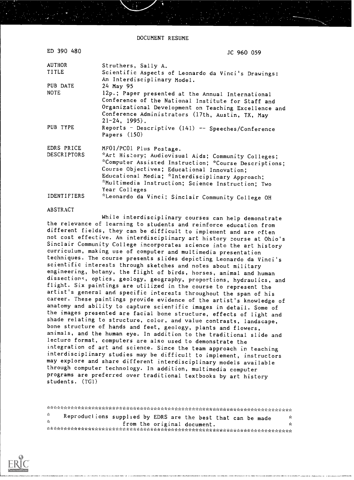DOCUMENT RESUME

| ED 390 480         | JC 960 059                                                                         |
|--------------------|------------------------------------------------------------------------------------|
| <b>AUTHOR</b>      | Struthers, Sally A.                                                                |
| <b>TITLE</b>       | Scientific Aspects of Leonardo da Vinci's Drawings:<br>An Interdisciplinary Model. |
| PUB DATE           | 24 May 95                                                                          |
| <b>NOTE</b>        | 12p.; Paper presented at the Annual International                                  |
|                    | Conference of the National Institute for Staff and                                 |
|                    | Organizational Development on Teaching Excellence and                              |
|                    | Conference Administrators (17th, Austin, TX, May<br>$21 - 24$ , 1995).             |
| PUB TYPE           | Reports - Descriptive (141) -- Speeches/Conference<br>Papers $(150)$               |
| EDRS PRICE         | MF01/PC01 Plus Postage.                                                            |
| <b>DESCRIPTORS</b> | *Art History; Audiovisual Aids; Community Colleges;                                |
|                    | *Computer Assisted Instruction; *Course Descriptions;                              |
|                    | Course Objectives; Educational Innovation;                                         |
|                    | Educational Media; *Interdisciplinary Approach;                                    |
|                    | *Multimedia Instruction; Science Instruction; Two                                  |
|                    | Year Colleges                                                                      |
| IDENTIFIERS        | *Leonardo da Vinci; Sinclair Community College OH                                  |

## ABSTRACT

. . . . . *. . . . . . . . . .* . .

While interdisciplinary courses can help demonstrate the relevance of learning to students and reinforce education from different fields, they can be difficult to implement and are often not cost effective. An interdisciplinary art history zourse at Ohio's Sinclair Community College incorporates science into the art history curriculum, making use of computer and multimedia presentation techniques. The course presents slides depicting Leonardo da Vinci's scientific interests through sketches and notes about military engineering, botany, the flight of birds, horses, animal and human dissectionc, optics, geology, geography, proportions, hydraulics, and flight. Six paintings are utilized in the course to represent the artist's general and specific interests throughout the span of his career. These paintings provide evidence of the artist's knowledge of anatomy and ability to capture scientific images in detail. Some of the images presented are facial bone structure, effects of light and shade relating to structure, color, and value contrasts, landscape, bone structure of hands and feet, geology, plants and flowers, animals, and the human eye. In addition to the traditional slide and lecture format, computers are also used to demonstrate the integration of art and science. Since the team approach in teaching interdisciplinary studies may be difficult to implement, instructors may explore and share different interdisciplinary models available through computer technology. In addition, multimedia computer programs are preferred over traditional textbooks by art history students. (TG1)

| a ste          | Reproductions supplied by EDRS are the best that can be made | 37 |  |  |
|----------------|--------------------------------------------------------------|----|--|--|
| <b>Section</b> | from the original document.                                  |    |  |  |
|                |                                                              |    |  |  |

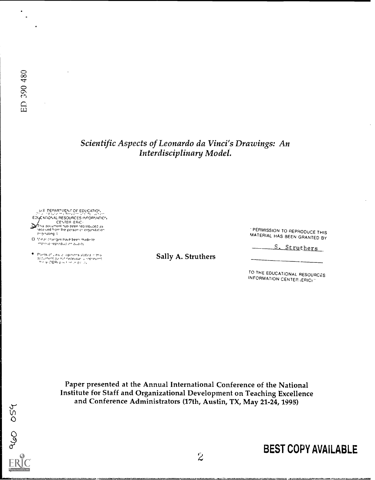## Scientific Aspects of Leonardo da Vinci's Drawings: An Interdisciplinary Model.

U.S. DEPARTMENT OF EDUCATION EDUCATIONAL RESOURCES INFORMATION /<br>This document has been reproduced as<br>received from the person or organization<br>originating :

- $\square$  . Minor changes have been made to moreve reproduction quality
- $\bullet$  Ponts of Leo experiences stated in this subsequent approximately entered in the Sally A. Struthers are also the contracted in the contracted in the contracted in the contracted in the contracted in the contracted in

PERMISSION TO REPRODUCE THIS MATERIAL HAS BEEN GRANTED BY

S. Struthers

TO THE EDUCATIONAL RESOURCES INFORMATION CENTER (ERIC) "

Paper presented at the Annual International Conference of the National Institute for Staff and Organizational Development on Teaching Excellence and Conference Administrators (17th, Austin, TX, May 21-24, 1995)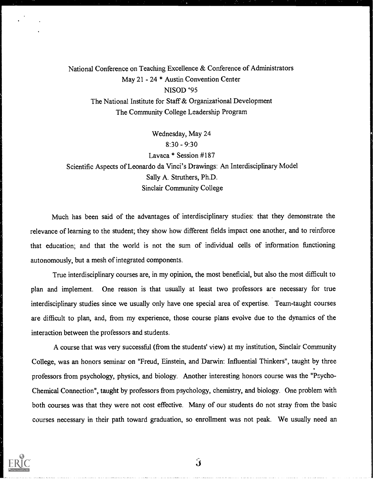National Conference on Teaching Excellence & Conference of Administrators May 21 - 24 \* Austin Convention Center NISOD '95 The National Institute for Staff & Organizational Development The Community College Leadership Program

Wednesday, May 24 8:30 - 9:30 Lavaca \* Session #187 Scientific Aspects of Leonardo da Vinci's Drawings: An Interdisciplinary Model Sally A. Struthers, Ph.D. Sinclair Community College

Much has been said of the advantages of interdisciplinary studies: that they demonstrate the relevance of learning to the student; they show how different fields impact one another, and to reinforce that education; and that the world is not the sum of individual cells of information fimctioning autonomously, but a mesh of integrated components.

True interdisciplinary courses are, in my opinion, the most beneficial, but also the most difficult to plan and implement. One reason is that usually at least two professors are necessary for true interdisciplinary studies since we usually only have one special area of expertise. Team-taught courses are difficult to plan, and, from my experience, those course plans evolve due to the dynamics of the interaction between the professors and students.

A course that was very successful (from the students' view) at my institution, Sinclair Community College, was an honors seminar on "Freud, Einstein, and Darwin: Influential Thinkers", taught by three professors from psychology, physics, and biology. Another interesting honors course was the "Psycho-Chemical Connection", taught by professors from psychology, chemistry, and biology. One problem with both courses was that they were not cost effective. Many of our students do not stray from the basic courses necessary in their path toward graduation, so enrollment was not peak. We usually need an

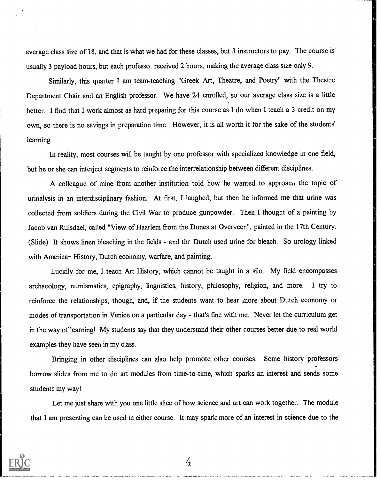average class size of 18, and that is what we had for these classes, but 3 instructors to pay. The course is usually 3 payload hours, but each professo. received 2 hours, making the average class size only 9.

Similarly, this quarter I am team-teaching "Greek Art, Theatre, and Poetry" with the Theatre Department Chair and an English professor. We have 24 enrolled, so our average class size is a little better. I find that I work almost as hard preparing for this course as I do when I teach a 3 credit on my own, so there is no savings in preparation time. However, it is all worth it for the sake of the students' learning

In reality, most courses will be taught by one professor with specialized knowledge in one field, but he or she can interject segments to reinforce the interrelationship between different disciplines.

A colleague of mine from another institution told how he wanted to approacu the topic of urinalysis in an interdisciplinary fashion. At first, I laughed, but then he informed me that urine was collected from soldiers during the Civil War to produce gunpowder. Then I thought of a painting by Jacob van Ruisdael, called "View of Haarlem from the Dunes at Overveen", painted in the 17th Century. (Slide) It shows linen bleaching in the fields - and thr Dutch used urine for bleach. So urology linked with American History, Dutch economy, warfare, and painting.

Luckily for me, I teach Art History, which cannot be taught in a silo. My field encompasses archaeology, numismatics, epigraphy, linguistics, history, philosophy, religion, and more. I try to reinforce the relationships, though, and, if the students want to hear more about Dutch economy or modes of transportation in Venice on a particular day - that's fine with me. Never let the curriculum get in the way of learning! My students say that they understand their other courses better due to real world examples they have seen in my class.

Bringing in other disciplines can also help promote other courses. Some history professors borrow slides from me to do art modules from time-to-time, which sparks an interest and sends some students my way!

Let me just share with you one little slice of how science and art can work together. The module that I am presenting can be used in either course. It may spark more of an interest in science due to the



4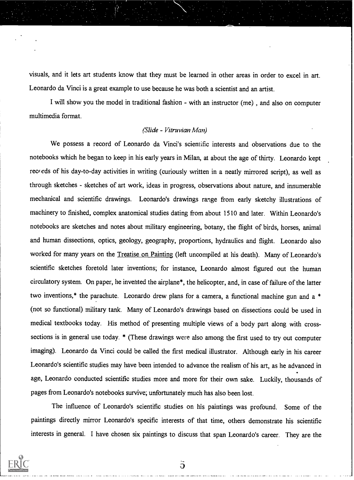visuals, and it lets art students know that they must be learned in other areas in order to excel in art. Leonardo da Vinci is a great example to use because he was both a scientist and an artist.

I will show you the model in traditional fashion - with an instructor (me) , and also on computer multimedia format.

## (Slide - Vitruvian Man)

We possess a record of Leonardo da Vinci's scientific interests and observations due to the notebooks which he began to keep in his early years in Milan, at about the age of thirty. Leonardo kept records of his day-to-day activities in writing (curiously written in a neatly mirrored script), as well as through sketches - sketches of art work, ideas in progress, observations about nature, and innumerable mechanical and scientific drawings. Leonardo's drawings range from early sketchy illustrations of machinery to finished, complex anatomical studies dating from about 1510 and later. Within Leonardo's notebooks are sketches and notes about military engineering, botany, the flight of birds, horses, animal and human dissections, optics, geology, geography, proportions, hydraulics and flight. Leonardo also worked for many years on the Treatise on Painting (left uncompiled at his death). Many of Leonardo's scientific sketches foretold later inventions; for instance, Leonardo almost figured out the human circulatory system. On paper, he invented the airplane\*, the helicopter, and, in case of failure of the latter two inventions,\* the parachute. Leonardo drew plans for a camera, a functional machine gun and a \* (not so functional) military tank. Many of Leonardo's drawings based on dissections could be used in medical textbooks today. His method of presenting multiple views of a body part along with crosssections is in general use today. \* (These drawings were also among the first used to try out computer imaging). Leonardo da Vinci could be called the first medical illustrator. Although early in his career Leonardo's scientific studies may have been intended to advance the realism of his art, as he advanced in age, Leonardo conducted scientific studies more and more for their own sake. Luckily, thousands of pages from Leonardo's notebooks survive; unfortunately much has also been lost.

The influence of Leonardo's scientific studies on his paintings was profound. Some of the paintings directly mirror Leonardo's specific interests of that time, others demonstrate his scientific interests in general. I have chosen six paintings to discuss that span Leonardo's career. They are the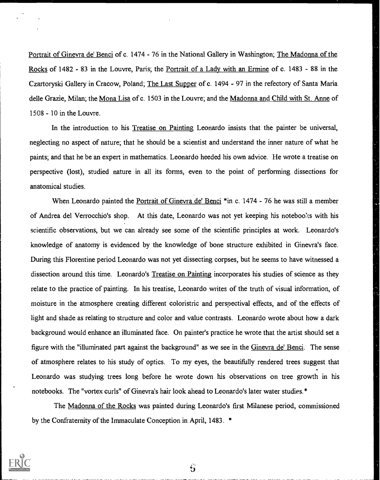Portrait of Ginevra de' Benci of c. 1474 - 76 in the National Gallery in Washington; The Madonna of the Rocks of 1482 - 83 in the Louvre, Paris; the Portrait of a Lady with an Ermine of c. 1483 - 88 in the Czartoryski Gallery in Cracow, Poland; The Last Supper of c. 1494 - 97 in the refectory of Santa Maria delle Grazie, Milan; the Mona Lisa of c. 1503 in the Louvre; and the Madonna and Child with St. Anne of 1508 - 10 in the Louvre.

In the introduction to his Treatise on Painting Leonardo insists that the painter be universal, neglecting no aspect of nature; that he should be a scientist and understand the inner nature of what he paints; and that he be an expert in mathematics. Leonardo heeded his own advice. He wrote a treatise on perspective (lost), studied nature in all its forms, even to the point of performing dissections for anatomical studies.

When Leonardo painted the Portrait of Ginevra de' Benci \*in c. 1474 - 76 he was still a member of Andrea del Verrocchio's shop. At this date, Leonardo was not yet keeping his noteboo!cs with his scientific observations, but we can already see some of the scientific principles at work. Leonardo's knowledge of anatomy is evidenced by the knowledge of bone structure exhibited in Ginevra's face. During this Florentine period Leonardo was not yet dissecting corpses, but he seems to have witnessed a dissection around this time. Leonardo's Treatise on Painting incorporates his studies of science as they relate to the practice of painting. In his treatise, Leonardo writes of the truth of visual information, of moisture in the atmosphere creating different coloristric and perspectival effects, and of the effects of light and shade as relating to structure and color and value contrasts. Leonardo wrote about how a dark background would enhance an illuminated face. On painter's practice he wrote that the artist should set a figure with the "illuminated part against the background" as we see in the Ginevra de' Benci. The sense of atmosphere relates to his study of optics. To my eyes, the beautifully rendered trees suggest that Leonardo was studying trees long before he wrote down his observations on tree growth in his notebooks. The "vortex curls" of Ginevra's hair look ahead to Leonardo's later water studies.\*

The Madonna of the Rocks was painted during Leonardo's first Milanese period, commissioned by the Confraternity of the Immaculate Conception in April, 1483. \*



 $\ddot{\mathbf{b}}$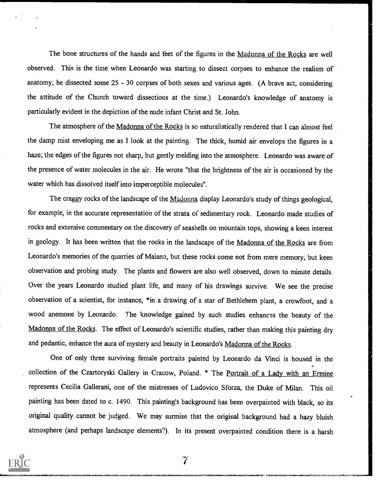The bone structures of the hands and feet of the figures in the Madonna of the Rocks are well observed. This is the time when Leonardo was starting to dissect corpses to enhance the realism of anatomy; he dissected some 25 - 30 corpses of both sexes and various ages. (A brave act, considering the attitude of the Church toward dissections at the time.) Leonardo's knowledge of anatomy is particularly evident in the depiction of the nude infant Christ and St. John.

The atmosphere of the Madonna of the Rocks is so naturalistically rendered that I can almost feel the damp mist enveloping me as I look at the painting. The thick, humid air envelops the figures in a haze; the edges of the figures not sharp, but gently melding into the atmosphere. Leonardo was aware of the presence of water molecules in the air. He wrote "that the brightness of the air is occasioned by the water which has dissolved itself into imperceptible molecules".

The craggy rocks of the landscape of the Madonna display Leonardo's study of things geological, for example, in the accurate representation of the strata of sedimentary rock. Leonardo made studies of rocks and extensive commentary on the discovery of seashells on mountain tops, showing a keen interest in geology. It has been written that the rocks in the landscape of the Madonna of the Rocks are from Leonardo's memories of the quarries of Maiano, but these rocks come not from mere memory, but keen observation and probing study. The plants and flowers are also well observed, down to minute details. Over the years Leonardo studied plant life, and many of his drawings survive. We see the precise observation of a scientist, for instance, \*in a drawing of a star of Bethlehem plant, a crowfoot, and a wood anemone by Leonardo. The knowledge gained by such studies enhances the beauty of the Madonna of the Rocks. The effect of Leonardo's scientific studies, rather than making this painting dry and pedantic, enhance the aura of mystery and beauty in Leonardo's Madonna of the Rocks.

One of only three surviving female portraits painted by Leonardo da Vinci is housed in the collection of the Czartoryski Gallery in Cracow, Poland. \* The Portrait of a Lady with an Ermine represents Cecilia Gallerani, one of the mistresses of Ludovico Sforza, the Duke of Milan. This oil painting has been dated to c. 1490. This painting's background has been overpainted with black, so its original quality cannot be judged. We may surmise that the original background had a hazy bluish atmosphere (and perhaps landscape elements?). In its present overpainted condition there is a harsh



 $\overline{\phantom{a}}$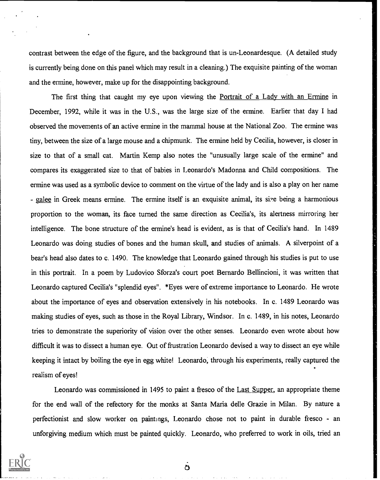contrast between the edge of the figure, and the background that is un-Leonardesque. (A detailed study is currently being done on this panel which may result in a cleaning.) The exquisite painting of the woman and the ermine, however, make up for the disappointing background.

The first thing that caught my eye upon viewing the Portrait of a Lady with an Ermine in December, 1992, while it was in the U.S., was the large size of the ermine. Earlier that day I had observed the movements of an active ermine in the mammal house at the National Zoo. The ermine was tiny, between the size of a large mouse and a chipmunk. The ermine held by Cecilia, however, is closer in size to that of a small cat. Martin Kemp also notes the "unusually large scale of the ermine" and compares its exaggerated size to that of babies in Leonardo's Madonna and Child compositions. The ermine was used as a symbolic device to comment on the virtue of the lady and is also a play on her name - galee in Greek means ermine. The ermine itself is an exquisite animal, its size being a harmonious proportion to the woman, its face turned the same direction as Cecilia's, its alertness mirroring her intelligence. The bone structure of the ermine's head is evident, as is that of Cecilia's hand. In 1489 Leonardo was doing studies of bones and the human skull, and studies of animals. A silverpoint of a bear's head also dates to c. 1490. The knowledge that Leonardo gained through his studies is put to use in this portrait. In a poem by Ludovico Sforza's court poet Bernardo Bellincioni, it was written that Leonardo captured Cecilia's "splendid eyes". \*Eyes were of extreme importance to Leonardo. He wrote about the importance of eyes and observation extensively in his notebooks. In c. 1489 Leonardo was making studies of eyes, such as those in the Royal Library, Windsor. In c. 1489, in his notes, Leonardo tries to demonstrate the superiority of vision over the other senses. Leonardo even wrote about how difficult it was to dissect a human eye. Out of frustration Leonardo devised a way to dissect an eye while keeping it intact by boiling the eye in egg white! Leonardo, through his experiments, really captured the realism of eyes!

Leonardo was commissioned in 1495 to paint a fresco of the Last Supper, an appropriate theme for the end wall of the refectory for the monks at Santa Maria delle Grazie in Milan. By nature a perfectionist and slow worker on paintings, Leonardo chose not to paint in durable fresco - an unforgiving medium which must be painted quickly. Leonardo, who preferred to work in oils, tried an



ð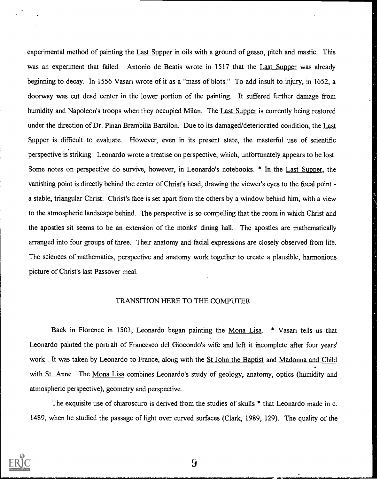experimental method of painting the Last Supper in oils with a ground of gesso, pitch and mastic. This was an experiment that failed. Antonio de Beatis wrote in 1517 that the Last Supper was already beginning to decay. In 1556 Vasari wrote of it as a "mass of blots." To add insult to injury, in 1652, a doorway was cut dead center in the lower portion of the painting. It suffered further damage from humidity and Napoleon's troops when they occupied Milan. The Last Supper is currently being restored under the direction of Dr. Pinan Brambilla Barcilon. Due to its damaged/deteriorated condition, the Last Supper is difficult to evaluate. However, even in its present state, the masterful use of scientific perspective is striking. Leonardo wrote a treatise on perspective, which, unfortunately appears to be lost. Some notes on perspective do survive, however, in Leonardo's notebooks. \* In the Last Supper, the vanishing point is directly behind the center of Christ's head, drawing the viewer's eyes to the focal point a stable, triangular Christ. Christ's face is set apart from the others by a window behind him, with a view to the atmospheric landscape behind. The perspective is so compelling that the room in which Christ and the apostles sit seems to be an extension of the monks' dining hall. The apostles are mathematically arranged into four groups of three. Their anatomy and facial expressions are closely observed from life. The sciences of mathematics, perspective and anatomy work together to create a plausible, harmonious picture of Christ's last Passover meal.

## TRANSITION HERE TO THE COMPUTER

Back in Florence in 1503, Leonardo began painting the Mona Lisa. \* Vasari tells us that Leonardo painted the portrait of Francesco del Giocondo's wife and left it incomplete after four years' work . It was taken by Leonardo to France, along with the St John the Baptist and Madonna and Child with St. Anne. The Mona Lisa combines Leonardo's study of geology, anatomy, optics (humidity and atmospheric perspective), geometry and perspective.

The exquisite use of chiaroscuro is derived from the studies of skulls \* that Leonardo made in c. 1489, when he studied the passage of light over curved surfaces (Clark, 1989, 129). The quality of the



 $9\overline{)}$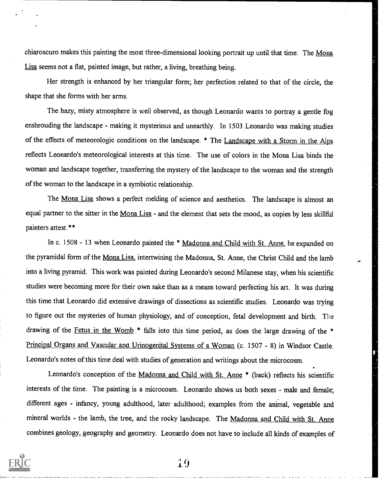chiaroscuro makes this painting the most three-dimensional looking portrait up until that time. The Mona Lisa seems not a flat, painted image, but rather, a living, breathing being.

Her strength is enhanced by her triangular form; her perfection related to that of the circle, the shape that she forms with her arms.

The hazy, misty atmosphere is well observed, as though Leonardo wants to portray a gentle fog enshrouding the landscape - making it mysterious and unearthly. In 1503 Leonardo was making studies of the effects of meteorologic conditions on the landscape. \* The Landscape with a Storm in the Alps reflects Leonardo's meteorological interests at this time. The use of colors in the Mona Lisa binds the woman and landscape together, transferring the mystery of the landscape to the woman and the strength of the woman to the landscape in a symbiotic relationship.

The Mona Lisa shows a perfect melding of science and aesthetics. The landscape is almost an equal partner to the sitter in the Mona Lisa - and the element that sets the mood, as copies by less skillful painters attest.\*\*

In c. 1508 - 13 when Leonardo painted the \* Madonna and Child with St. Anne, he expanded on the pyramidal form of the Mona Lisa, intertwining the Madonna, St. Anne, the Christ Child and the lamb into a living pyramid. This work was painted during Leonardo's second Milanese stay, when his scientific studies were becoming more for their own sake than as a means toward perfecting his art. It was during this time that Leonardo did extensive drawings of dissections as scientific studies. Leonardo was trying to figure out the mysteries of human physiology, and of conception, fetal development and birth. The drawing of the Fetus in the Womb  $*$  falls into this time period, as does the large drawing of the  $*$ Principal Organs and Vascular ana Urinogenital Systems of a Woman (c. 1507 - 8) in Windsor Castle. Leonardo's notes of this time deal with studies of generation and writings about the microcosm.

Leonardo's conception of the Madonna and Child with St. Anne \* (back) reflects his scientific interests of the time. The painting is a microcosm. Leonardo shows us both sexes - male and female; different ages - infancy, young adulthood, later adulthood; examples from the animal, vegetable and mineral worlds - the lamb, the tree, and the rocky landscape. The Madonna and Child with St. Anne combines geology, geography and geometry. Leonardo does not have to include all kinds of examples of



10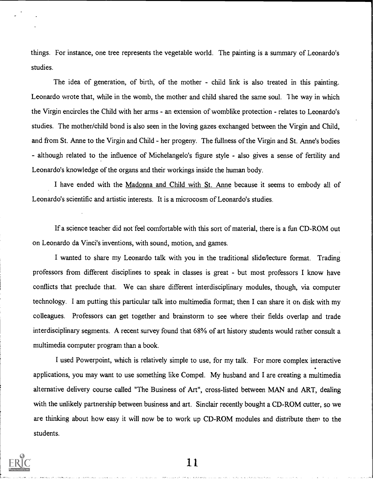things. For instance, one tree represents the vegetable world. The painting is a summary of Leonardo's studies.

The idea of generation, of birth, of the mother - child link is also treated in this painting. Leonardo wrote that, while in the womb, the mother and child shared the same soul. The way in which the Virgin encircles the Child with her arms - an extension of womblike protection - relates to Leonardo's studies. The mother/child bond is also seen in the loving gazes exchanged between the Virgin and Child, and from St. Anne to the Virgin and Child - her progeny. The fullness of the Virgin and St. Anne's bodies - although related to the influence of Michelangelo's figure style - also gives a sense of fertility and Leonardo's knowledge of the organs and their workings inside the human body.

I have ended with the Madonna and Child with St. Anne because it seems to embody all of Leonardo's scientific and artistic interests. It is a microcosm of Leonardo's studies.

If a science teacher did not feel comfortable with this sort of material, there is a fun CD-ROM out on Leonardo da Vinci's inventions, with sound, motion, and games.

I wanted to share my Leonardo talk with you in the traditional slide/lecture format. Trading professors from different disciplines to speak in classes is great - but most professors I know have conflicts that preclude that. We can share different interdisciplinary modules, though, via computer technology. I am putting this particular talk into multimedia format; then I can share it on disk with my colleagues. Professors can get together and brainstorm to see where their fields overlap and trade interdisciplinary segments. A recent survey found that 68% of art history students would rather consult a multimedia computer program than a book.

I used Powerpoint, which is relatively simple to use, for my talk. For more complex interactive applications, you may want to use something like Compel. My husband and I are creating a multimedia alternative delivery course called "The Business of Art", cross-listed between MAN and ART, dealing with the unlikely partnership between business and art. Sinclair recently bought a CD-ROM cutter, so we are thinking about how easy it will now be to work up CD-ROM modules and distribute them to the students.